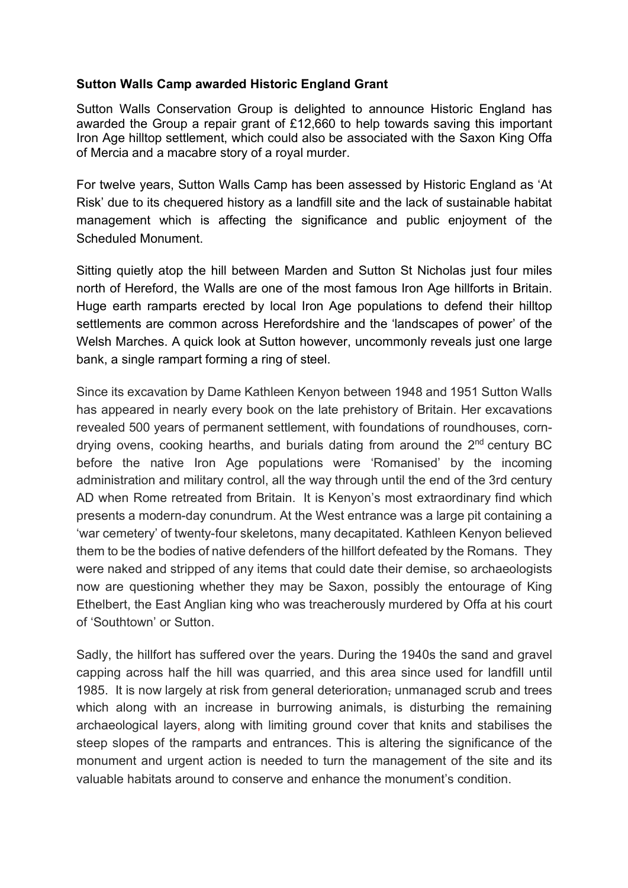## **Sutton Walls Camp awarded Historic England Grant**

Sutton Walls Conservation Group is delighted to announce Historic England has awarded the Group a repair grant of £12,660 to help towards saving this important Iron Age hilltop settlement, which could also be associated with the Saxon King Offa of Mercia and a macabre story of a royal murder.

For twelve years, Sutton Walls Camp has been assessed by Historic England as 'At Risk' due to its chequered history as a landfill site and the lack of sustainable habitat management which is affecting the significance and public enjoyment of the Scheduled Monument.

Sitting quietly atop the hill between Marden and Sutton St Nicholas just four miles north of Hereford, the Walls are one of the most famous Iron Age hillforts in Britain. Huge earth ramparts erected by local Iron Age populations to defend their hilltop settlements are common across Herefordshire and the 'landscapes of power' of the Welsh Marches. A quick look at Sutton however, uncommonly reveals just one large bank, a single rampart forming a ring of steel.

Since its excavation by Dame Kathleen Kenyon between 1948 and 1951 Sutton Walls has appeared in nearly every book on the late prehistory of Britain. Her excavations revealed 500 years of permanent settlement, with foundations of roundhouses, corndrying ovens, cooking hearths, and burials dating from around the  $2<sup>nd</sup>$  century BC before the native Iron Age populations were 'Romanised' by the incoming administration and military control, all the way through until the end of the 3rd century AD when Rome retreated from Britain. It is Kenyon's most extraordinary find which presents a modern-day conundrum. At the West entrance was a large pit containing a 'war cemetery' of twenty-four skeletons, many decapitated. Kathleen Kenyon believed them to be the bodies of native defenders of the hillfort defeated by the Romans. They were naked and stripped of any items that could date their demise, so archaeologists now are questioning whether they may be Saxon, possibly the entourage of King Ethelbert, the East Anglian king who was treacherously murdered by Offa at his court of 'Southtown' or Sutton.

Sadly, the hillfort has suffered over the years. During the 1940s the sand and gravel capping across half the hill was quarried, and this area since used for landfill until 1985. It is now largely at risk from general deterioration, unmanaged scrub and trees which along with an increase in burrowing animals, is disturbing the remaining archaeological layers, along with limiting ground cover that knits and stabilises the steep slopes of the ramparts and entrances. This is altering the significance of the monument and urgent action is needed to turn the management of the site and its valuable habitats around to conserve and enhance the monument's condition.